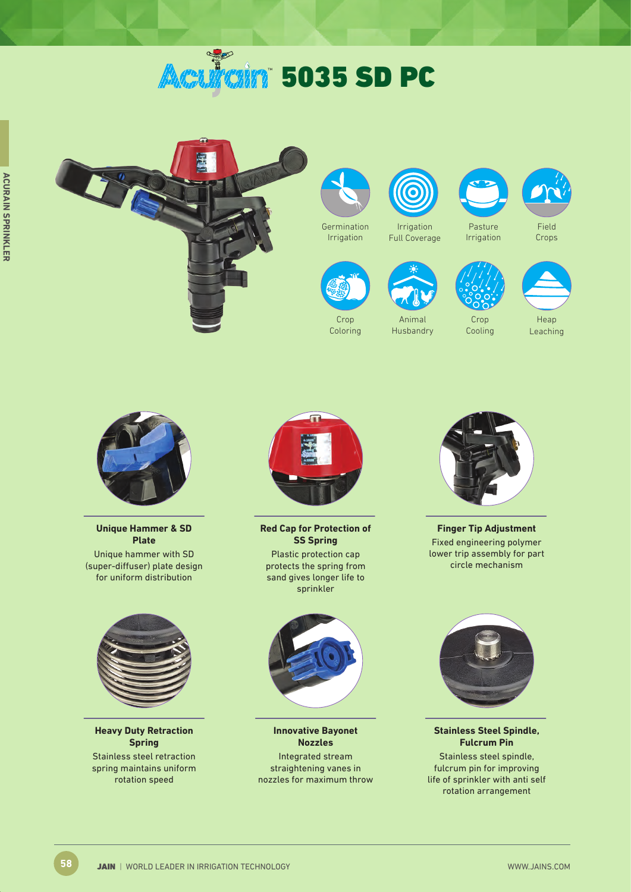# **Acultuin 5035 SD PC**









Crop Coloring

Irrigation Full Coverage

Animal Husbandry



Crop Cooling



Crops



Heap Leaching



**Unique Hammer & SD Plate** Unique hammer with SD (super-diffuser) plate design for uniform distribution



**Heavy Duty Retraction Spring**  Stainless steel retraction spring maintains uniform rotation speed



**Red Cap for Protection of SS Spring** Plastic protection cap protects the spring from sand gives longer life to sprinkler



**Innovative Bayonet Nozzles** Integrated stream straightening vanes in nozzles for maximum throw



**Finger Tip Adjustment** Fixed engineering polymer lower trip assembly for part circle mechanism



**Stainless Steel Spindle, Fulcrum Pin**

Stainless steel spindle, fulcrum pin for improving life of sprinkler with anti self rotation arrangement